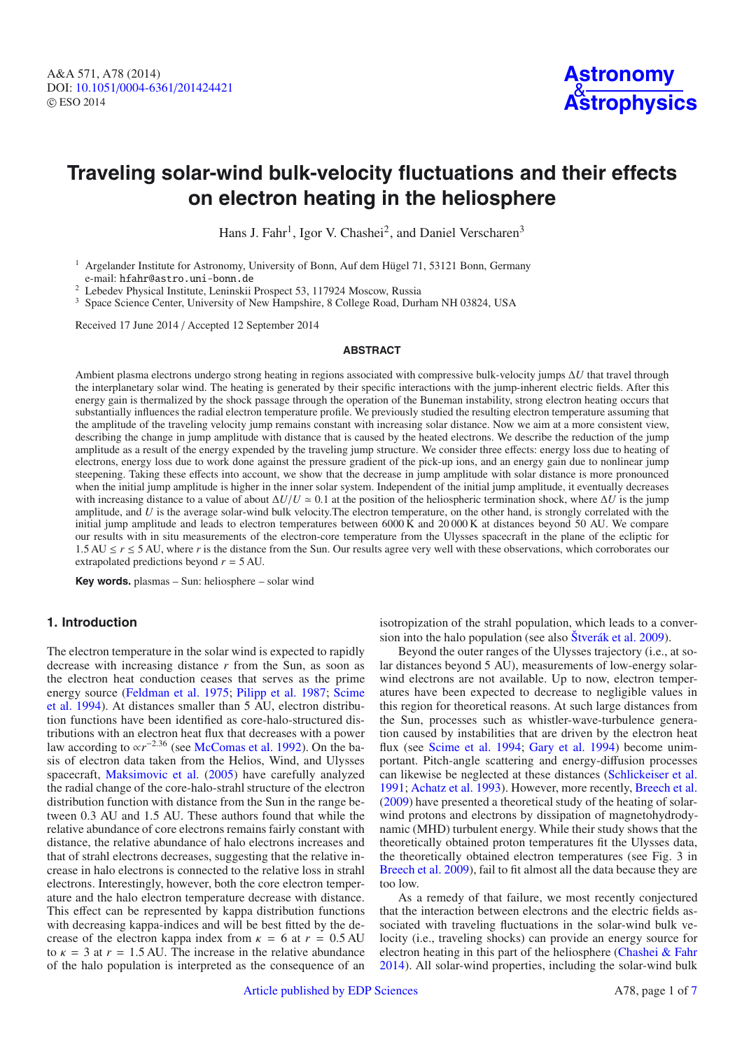# **Traveling solar-wind bulk-velocity fluctuations and their effects on electron heating in the heliosphere**

Hans J. Fahr<sup>1</sup>, Igor V. Chashei<sup>2</sup>, and Daniel Verscharen<sup>3</sup>

<sup>1</sup> Argelander Institute for Astronomy, University of Bonn, Auf dem Hügel 71, 53121 Bonn, Germany e-mail: hfahr@astro.uni-bonn.de

<sup>2</sup> Lebedev Physical Institute, Leninskii Prospect 53, 117924 Moscow, Russia

<sup>3</sup> Space Science Center, University of New Hampshire, 8 College Road, Durham NH 03824, USA

Received 17 June 2014 / Accepted 12 September 2014

#### **ABSTRACT**

Ambient plasma electrons undergo strong heating in regions associated with compressive bulk-velocity jumps Δ*U* that travel through the interplanetary solar wind. The heating is generated by their specific interactions with the jump-inherent electric fields. After this energy gain is thermalized by the shock passage through the operation of the Buneman instability, strong electron heating occurs that substantially influences the radial electron temperature profile. We previously studied the resulting electron temperature assuming that the amplitude of the traveling velocity jump remains constant with increasing solar distance. Now we aim at a more consistent view, describing the change in jump amplitude with distance that is caused by the heated electrons. We describe the reduction of the jump amplitude as a result of the energy expended by the traveling jump structure. We consider three effects: energy loss due to heating of electrons, energy loss due to work done against the pressure gradient of the pick-up ions, and an energy gain due to nonlinear jump steepening. Taking these effects into account, we show that the decrease in jump amplitude with solar distance is more pronounced when the initial jump amplitude is higher in the inner solar system. Independent of the initial jump amplitude, it eventually decreases with increasing distance to a value of about  $\Delta U/U \approx 0.1$  at the position of the heliospheric termination shock, where  $\Delta U$  is the jump amplitude, and *U* is the average solar-wind bulk velocity.The electron temperature, on the other hand, is strongly correlated with the initial jump amplitude and leads to electron temperatures between 6000 K and 20 000 K at distances beyond 50 AU. We compare our results with in situ measurements of the electron-core temperature from the Ulysses spacecraft in the plane of the ecliptic for 1.5 AU ≤ *r* ≤ 5 AU, where *r* is the distance from the Sun. Our results agree very well with these observations, which corroborates our extrapolated predictions beyond *r* = 5 AU.

**Key words.** plasmas – Sun: heliosphere – solar wind

# **1. Introduction**

The electron temperature in the solar wind is expected to rapidly decrease with increasing distance *r* from the Sun, as soon as the electron heat conduction ceases that serves as the prime ener[gy source](#page-6-2) [\(Feldman et al. 1975](#page-6-0)[;](#page-6-2) [Pilipp et al. 1987](#page-6-1); Scime et al. [1994](#page-6-2)). At distances smaller than 5 AU, electron distribution functions have been identified as core-halo-structured distributions with an electron heat flux that decreases with a power law according to  $\alpha r^{-2.36}$  (see [McComas et al. 1992\)](#page-6-3). On the basis of electron data taken from the Helios, Wind, and Ulysses spacecraft, [Maksimovic et al.](#page-6-4) [\(2005](#page-6-4)) have carefully analyzed the radial change of the core-halo-strahl structure of the electron distribution function with distance from the Sun in the range between 0.3 AU and 1.5 AU. These authors found that while the relative abundance of core electrons remains fairly constant with distance, the relative abundance of halo electrons increases and that of strahl electrons decreases, suggesting that the relative increase in halo electrons is connected to the relative loss in strahl electrons. Interestingly, however, both the core electron temperature and the halo electron temperature decrease with distance. This effect can be represented by kappa distribution functions with decreasing kappa-indices and will be best fitted by the decrease of the electron kappa index from  $\kappa = 6$  at  $r = 0.5$  AU to  $\kappa = 3$  at  $r = 1.5$  AU. The increase in the relative abundance of the halo population is interpreted as the consequence of an isotropization of the strahl population, which leads to a conversion into the halo population (see also [Štverák et al. 2009\)](#page-6-5).

Beyond the outer ranges of the Ulysses trajectory (i.e., at solar distances beyond 5 AU), measurements of low-energy solarwind electrons are not available. Up to now, electron temperatures have been expected to decrease to negligible values in this region for theoretical reasons. At such large distances from the Sun, processes such as whistler-wave-turbulence generation caused by instabilities that are driven by the electron heat flux (see [Scime et al. 1994;](#page-6-2) [Gary et al. 1994](#page-6-6)) become unimportant. Pitch-angle scattering and energy-diffusion processes can likewise be neglected at these distances [\(Schlickeiser et al.](#page-6-7) [1991;](#page-6-7) [Achatz et al. 1993\)](#page-6-8). However, more recently, [Breech et al.](#page-6-9) [\(2009\)](#page-6-9) have presented a theoretical study of the heating of solarwind protons and electrons by dissipation of magnetohydrodynamic (MHD) turbulent energy. While their study shows that the theoretically obtained proton temperatures fit the Ulysses data, the theoretically obtained electron temperatures (see Fig. 3 in [Breech et al. 2009](#page-6-9)), fail to fit almost all the data because they are too low.

As a remedy of that failure, we most recently conjectured that the interaction between electrons and the electric fields associated with traveling fluctuations in the solar-wind bulk velocity (i.e., traveling shocks) can provide an energy source for electron heating in this part of the heliosphere [\(Chashei & Fahr](#page-6-10) [2014\)](#page-6-10). All solar-wind properties, including the solar-wind bulk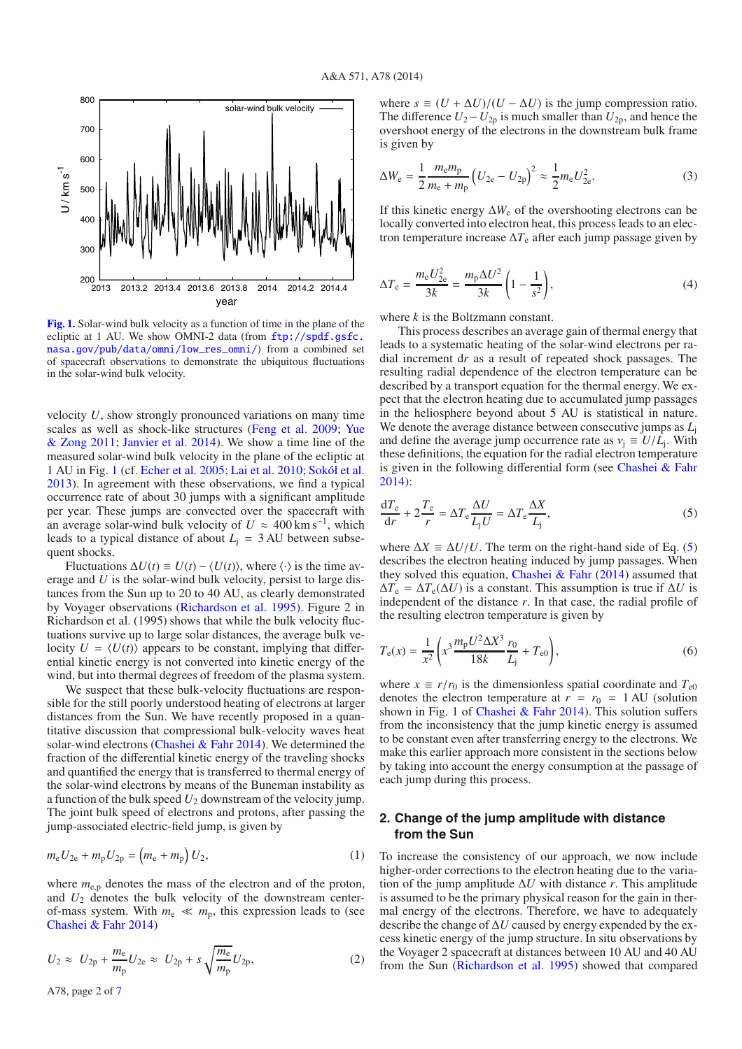<span id="page-1-0"></span>

**[Fig. 1.](http://dexter.edpsciences.org/applet.php?DOI=10.1051/0004-6361/201424421&pdf_id=1)** Solar-wind bulk velocity as a function of time in the plane of the ecliptic at 1 AU. We show OMNI-2 data (from  $ftp://spdf.gsfc$ . [nasa.gov/pub/data/omni/low\\_res\\_omni/](ftp://spdf.gsfc.nasa.gov/pub/data/omni/low_res_omni/)) from a combined set of spacecraft observations to demonstrate the ubiquitous fluctuations in the solar-wind bulk velocity.

velocity *U*, show strongly pronounced variations on many time scales a[s](#page-6-13) [well](#page-6-13) [as](#page-6-13) [shock-like](#page-6-13) [structures](#page-6-13) [\(Feng et al. 2009;](#page-6-12) Yue & Zong [2011;](#page-6-13) [Janvier et al. 2014\)](#page-6-14). We show a time line of the measured solar-wind bulk velocity in the plane of the ecliptic at 1 AU in Fig. [1](#page-1-0) (cf. [Echer et al. 2005](#page-6-15); [Lai et al. 2010;](#page-6-16) [Sokół et al.](#page-6-17) [2013\)](#page-6-17). In agreement with these observations, we find a typical occurrence rate of about 30 jumps with a significant amplitude per year. These jumps are convected over the spacecraft with an average solar-wind bulk velocity of  $U \approx 400 \text{ km s}^{-1}$ , which leads to a typical distance of about  $L<sub>i</sub> = 3 \text{ AU}$  between subsequent shocks.

Fluctuations  $\Delta U(t) = U(t) - \langle U(t) \rangle$ , where  $\langle \cdot \rangle$  is the time average and *U* is the solar-wind bulk velocity, persist to large distances from the Sun up to 20 to 40 AU, as clearly demonstrated by Voyager observations [\(Richardson et al. 1995\)](#page-6-18). Figure 2 in Richardson et al. (1995) shows that while the bulk velocity fluctuations survive up to large solar distances, the average bulk velocity  $U = \langle U(t) \rangle$  appears to be constant, implying that differential kinetic energy is not converted into kinetic energy of the wind, but into thermal degrees of freedom of the plasma system.

We suspect that these bulk-velocity fluctuations are responsible for the still poorly understood heating of electrons at larger distances from the Sun. We have recently proposed in a quantitative discussion that compressional bulk-velocity waves heat solar-wind electrons [\(Chashei & Fahr 2014\)](#page-6-10). We determined the fraction of the differential kinetic energy of the traveling shocks and quantified the energy that is transferred to thermal energy of the solar-wind electrons by means of the Buneman instability as a function of the bulk speed  $U_2$  downstream of the velocity jump. The joint bulk speed of electrons and protons, after passing the jump-associated electric-field jump, is given by

$$
m_{\rm e}U_{2\rm e} + m_{\rm p}U_{2\rm p} = (m_{\rm e} + m_{\rm p})U_2, \tag{1}
$$

where  $m_{e,p}$  denotes the mass of the electron and of the proton, and  $U_2$  denotes the bulk velocity of the downstream centerof-mass system. With  $m_e \ll m_p$ , this expression leads to (see [Chashei & Fahr 2014](#page-6-10))

$$
U_2 \approx U_{2p} + \frac{m_e}{m_p} U_{2e} \approx U_{2p} + s \sqrt{\frac{m_e}{m_p}} U_{2p},
$$
 (2)

<span id="page-1-2"></span>where  $s \equiv (U + \Delta U)/(U - \Delta U)$  is the jump compression ratio. The difference  $U_2 - U_{2p}$  is much smaller than  $U_{2p}$ , and hence the overshoot energy of the electrons in the downstream bulk frame is given by

$$
\Delta W_{\rm e} = \frac{1}{2} \frac{m_{\rm e} m_{\rm p}}{m_{\rm e} + m_{\rm p}} \left( U_{2\rm e} - U_{2\rm p} \right)^2 \approx \frac{1}{2} m_{\rm e} U_{2\rm e}^2. \tag{3}
$$

If this kinetic energy  $\Delta W_e$  of the overshooting electrons can be locally converted into electron heat, this process leads to an electron temperature increase  $\Delta T_e$  after each jump passage given by

$$
\Delta T_{\rm e} = \frac{m_{\rm e} U_{2\rm e}^2}{3k} = \frac{m_{\rm p} \Delta U^2}{3k} \left( 1 - \frac{1}{s^2} \right),\tag{4}
$$

<span id="page-1-1"></span>where *k* is the Boltzmann constant.

This process describes an average gain of thermal energy that leads to a systematic heating of the solar-wind electrons per radial increment d*r* as a result of repeated shock passages. The resulting radial dependence of the electron temperature can be described by a transport equation for the thermal energy. We expect that the electron heating due to accumulated jump passages in the heliosphere beyond about 5 AU is statistical in nature. We denote the average distance between consecutive jumps as *L*<sup>j</sup> and define the average jump occurrence rate as  $v_i \equiv U/L_i$ . With these definitions, the equation for the radial electron temperature is given in the following differential form (see Chashei  $& Fahr$ [2014\)](#page-6-10):

$$
\frac{dT_e}{dr} + 2\frac{T_e}{r} = \Delta T_e \frac{\Delta U}{L_j U} = \Delta T_e \frac{\Delta X}{L_j},\tag{5}
$$

where  $\Delta X \equiv \Delta U/U$ . The term on the right-hand side of Eq. [\(5\)](#page-1-1) describes the electron heating induced by jump passages. When they solved this equation, Chashei  $\&$  Fahr [\(2014](#page-6-10)) assumed that  $\Delta T_e = \Delta T_e(\Delta U)$  is a constant. This assumption is true if  $\Delta U$  is independent of the distance *r*. In that case, the radial profile of the resulting electron temperature is given by

$$
T_{\rm e}(x) = \frac{1}{x^2} \left( x^3 \frac{m_{\rm p} U^2 \Delta X^3}{18k} \frac{r_0}{L_{\rm j}} + T_{\rm e0} \right),\tag{6}
$$

where  $x \equiv r/r_0$  is the dimensionless spatial coordinate and  $T_{\text{e}0}$ denotes the electron temperature at  $r = r_0 = 1$  AU (solution shown in Fig. 1 of Chashei  $&$  Fahr 2014). This solution suffers from the inconsistency that the jump kinetic energy is assumed to be constant even after transferring energy to the electrons. We make this earlier approach more consistent in the sections below by taking into account the energy consumption at the passage of each jump during this process.

## **2. Change of the jump amplitude with distance from the Sun**

To increase the consistency of our approach, we now include higher-order corrections to the electron heating due to the variation of the jump amplitude  $\Delta U$  with distance *r*. This amplitude is assumed to be the primary physical reason for the gain in thermal energy of the electrons. Therefore, we have to adequately describe the change of Δ*U* caused by energy expended by the excess kinetic energy of the jump structure. In situ observations by the Voyager 2 spacecraft at distances between 10 AU and 40 AU from the Sun [\(Richardson et al. 1995](#page-6-18)) showed that compared

A78, page 2 of [7](#page-6-11)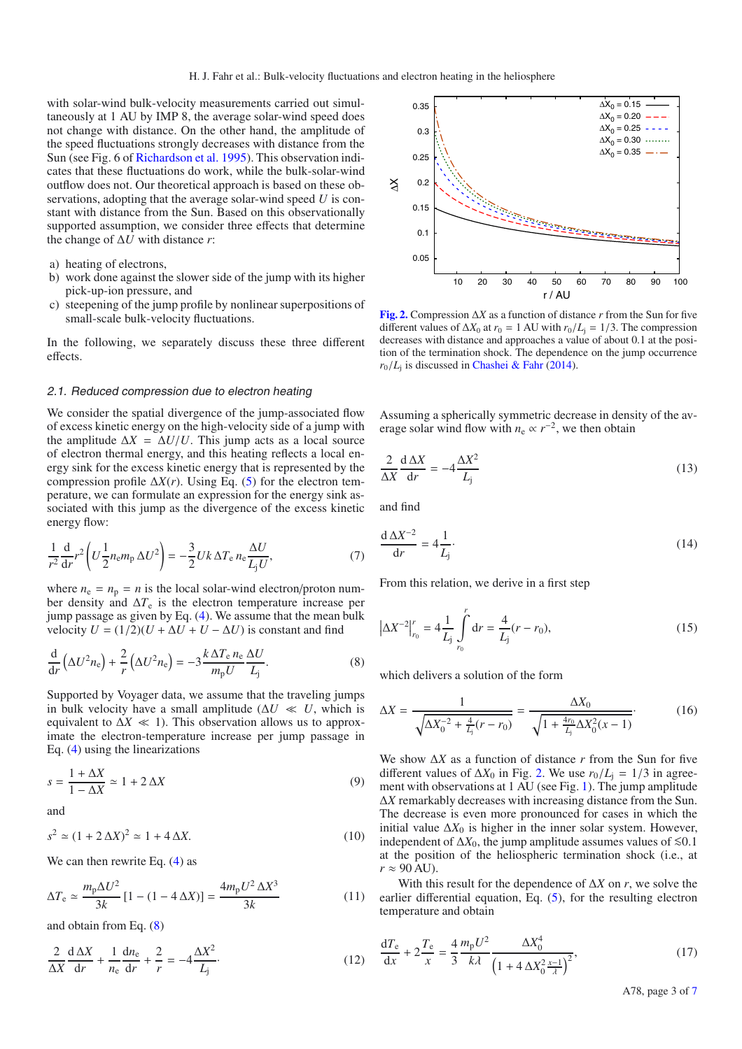with solar-wind bulk-velocity measurements carried out simultaneously at 1 AU by IMP 8, the average solar-wind speed does not change with distance. On the other hand, the amplitude of the speed fluctuations strongly decreases with distance from the Sun (see Fig. 6 of [Richardson et al. 1995\)](#page-6-18). This observation indicates that these fluctuations do work, while the bulk-solar-wind outflow does not. Our theoretical approach is based on these observations, adopting that the average solar-wind speed *U* is constant with distance from the Sun. Based on this observationally supported assumption, we consider three effects that determine the change of Δ*U* with distance *r*:

- a) heating of electrons,
- b) work done against the slower side of the jump with its higher pick-up-ion pressure, and
- c) steepening of the jump profile by nonlinear superpositions of small-scale bulk-velocity fluctuations.

In the following, we separately discuss these three different effects.

#### <span id="page-2-3"></span>2.1. Reduced compression due to electron heating

We consider the spatial divergence of the jump-associated flow of excess kinetic energy on the high-velocity side of a jump with the amplitude  $\Delta X = \Delta U/U$ . This jump acts as a local source of electron thermal energy, and this heating reflects a local energy sink for the excess kinetic energy that is represented by the compression profile  $\Delta X(r)$ . Using Eq. [\(5\)](#page-1-1) for the electron temperature, we can formulate an expression for the energy sink associated with this jump as the divergence of the excess kinetic energy flow:

$$
\frac{1}{r^2}\frac{\mathrm{d}}{\mathrm{d}r}r^2\left(U\frac{1}{2}n_{\rm e}m_{\rm p}\,\Delta U^2\right) = -\frac{3}{2}Uk\,\Delta T_{\rm e}\,n_{\rm e}\frac{\Delta U}{L_{\rm j}U},\tag{7}
$$

where  $n_e = n_p = n$  is the local solar-wind electron/proton number density and  $\Delta T_e$  is the electron temperature increase per jump passage as given by Eq. [\(4\)](#page-1-2). We assume that the mean bulk velocity  $U = (1/2)(U + \Delta U + U - \Delta U)$  is constant and find

<span id="page-2-4"></span>
$$
\frac{\mathrm{d}}{\mathrm{d}r}\left(\Delta U^2 n_{\rm e}\right) + \frac{2}{r}\left(\Delta U^2 n_{\rm e}\right) = -3\frac{k\,\Delta T_{\rm e}\,n_{\rm e}\,\Delta U}{m_{\rm p}U}\frac{\Delta U}{L_{\rm j}}.\tag{8}
$$

Supported by Voyager data, we assume that the traveling jumps in bulk velocity have a small amplitude ( $\Delta U \ll U$ , which is equivalent to  $\Delta X \ll 1$ ). This observation allows us to approximate the electron-temperature increase per jump passage in Eq. [\(4\)](#page-1-2) using the linearizations

$$
s = \frac{1 + \Delta X}{1 - \Delta X} \simeq 1 + 2\,\Delta X\tag{9}
$$

and

$$
s^2 \simeq (1 + 2\,\Delta X)^2 \simeq 1 + 4\,\Delta X. \tag{10}
$$

We can then rewrite Eq.  $(4)$  as

$$
\Delta T_{\rm e} \simeq \frac{m_{\rm p}\Delta U^2}{3k} \left[1 - (1 - 4\,\Delta X)\right] = \frac{4m_{\rm p}U^2\,\Delta X^3}{3k} \tag{11}
$$

and obtain from Eq. [\(8\)](#page-2-0)

$$
\frac{2}{\Delta X}\frac{d\Delta X}{dr} + \frac{1}{n_e}\frac{dn_e}{dr} + \frac{2}{r} = -4\frac{\Delta X^2}{L_j}.
$$
 (12)

<span id="page-2-1"></span>

**[Fig. 2.](http://dexter.edpsciences.org/applet.php?DOI=10.1051/0004-6361/201424421&pdf_id=2)** Compression Δ*X* as a function of distance *r* from the Sun for five different values of  $\Delta X_0$  at  $r_0 = 1$  AU with  $r_0/L_i = 1/3$ . The compression decreases with distance and approaches a value of about 0.1 at the position of the termination shock. The dependence on the jump occurrence  $r_0/L_i$  is discussed in [Chashei & Fahr](#page-6-10) [\(2014\)](#page-6-10).

Assuming a spherically symmetric decrease in density of the average solar wind flow with  $n_e \propto r^{-2}$ , we then obtain

<span id="page-2-0"></span>
$$
\frac{2}{\Delta X} \frac{d \Delta X}{dr} = -4 \frac{\Delta X^2}{L_j} \tag{13}
$$

<span id="page-2-2"></span>and find

$$
\frac{\mathrm{d}\,\Delta X^{-2}}{\mathrm{d}r} = 4\frac{1}{L_{\mathrm{j}}}.\tag{14}
$$

From this relation, we derive in a first step

$$
\left|\Delta X^{-2}\right|_{r_0}^r = 4\frac{1}{L_j} \int_{r_0}^r \mathrm{d}r = \frac{4}{L_j}(r - r_0),\tag{15}
$$

which delivers a solution of the form

$$
\Delta X = \frac{1}{\sqrt{\Delta X_0^{-2} + \frac{4}{L_j}(r - r_0)}} = \frac{\Delta X_0}{\sqrt{1 + \frac{4r_0}{L_j}\Delta X_0^2(x - 1)}}.
$$
(16)

We show Δ*X* as a function of distance *r* from the Sun for five different values of  $\Delta X_0$  in Fig. [2.](#page-2-1) We use  $r_0/L_i = 1/3$  in agreement with observations at 1 AU (see Fig. [1\)](#page-1-0). The jump amplitude Δ*X* remarkably decreases with increasing distance from the Sun. The decrease is even more pronounced for cases in which the initial value  $\Delta X_0$  is higher in the inner solar system. However, independent of  $\Delta X_0$ , the jump amplitude assumes values of  $\leq 0.1$ at the position of the heliospheric termination shock (i.e., at  $r \approx 90$  AU).

With this result for the dependence of  $\Delta X$  on *r*, we solve the earlier differential equation, Eq. [\(5\)](#page-1-1), for the resulting electron temperature and obtain

$$
\frac{dT_e}{dx} + 2\frac{T_e}{x} = \frac{4}{3} \frac{m_p U^2}{k\lambda} \frac{\Delta X_0^4}{\left(1 + 4\Delta X_0^2 \frac{x-1}{\lambda}\right)^2},\tag{17}
$$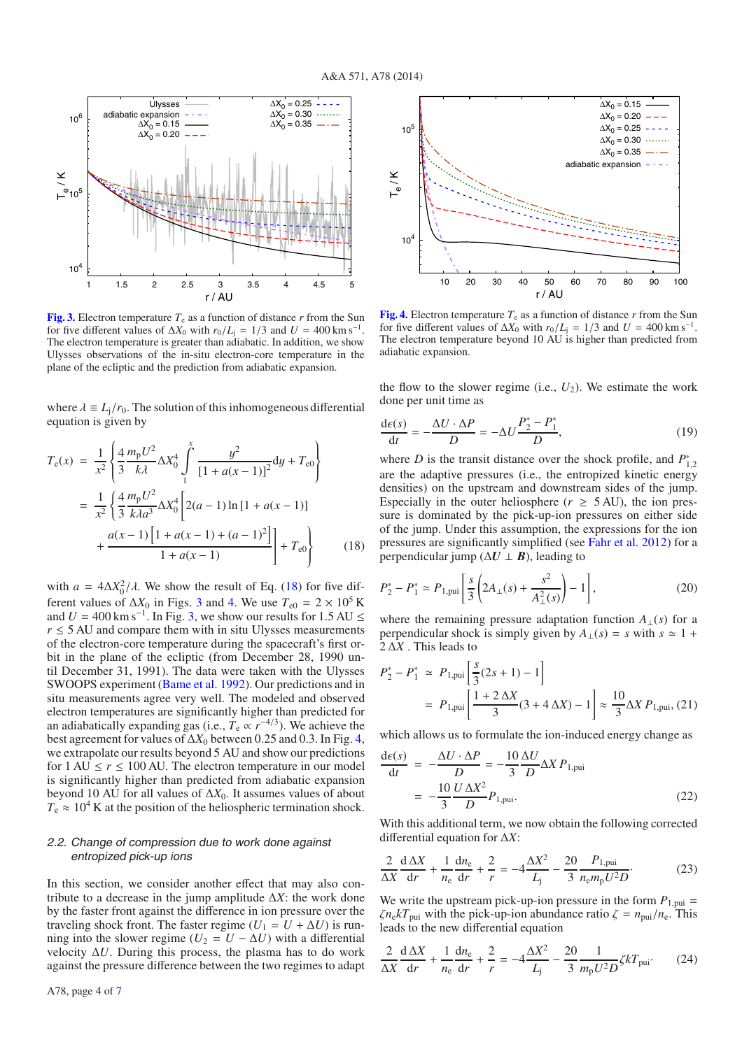<span id="page-3-1"></span>

**[Fig. 3.](http://dexter.edpsciences.org/applet.php?DOI=10.1051/0004-6361/201424421&pdf_id=3)** Electron temperature  $T_e$  as a function of distance  $r$  from the Sun for five different values of  $\Delta X_0$  with  $r_0/L$ <sub>i</sub> = 1/3 and *U* = 400 km s<sup>-1</sup>. The electron temperature is greater than adiabatic. In addition, we show Ulysses observations of the in-situ electron-core temperature in the plane of the ecliptic and the prediction from adiabatic expansion.

where  $\lambda = L_i/r_0$ . The solution of this inhomogeneous differential equation is given by

<span id="page-3-0"></span>
$$
T_{e}(x) = \frac{1}{x^{2}} \left\{ \frac{4}{3} \frac{m_{p} U^{2}}{k \lambda} \Delta X_{0}^{4} \int_{1}^{x} \frac{y^{2}}{[1 + a(x - 1)]^{2}} dy + T_{e0} \right\}
$$
  

$$
= \frac{1}{x^{2}} \left\{ \frac{4}{3} \frac{m_{p} U^{2}}{k \lambda a^{3}} \Delta X_{0}^{4} \left[ 2(a - 1) \ln [1 + a(x - 1)] + \frac{a(x - 1) \left[1 + a(x - 1) + (a - 1)^{2}\right]}{1 + a(x - 1)} \right] + T_{e0} \right\}
$$
(18)

with  $a = 4\Delta X_0^2/\lambda$ . We show the result of Eq. [\(18\)](#page-3-0) for five different values of  $\Delta X_0$  in Figs. [3](#page-3-1) and [4.](#page-3-2) We use  $T_{\text{e0}} = 2 \times 10^5$  K and  $U = 400 \text{ km s}^{-1}$ . In Fig. [3,](#page-3-1) we show our results for 1.5 AU  $\leq$  $r \leq 5$  AU and compare them with in situ Ulysses measurements of the electron-core temperature during the spacecraft's first orbit in the plane of the ecliptic (from December 28, 1990 until December 31, 1991). The data were taken with the Ulysses SWOOPS experiment [\(Bame et al. 1992\)](#page-6-19). Our predictions and in situ measurements agree very well. The modeled and observed electron temperatures are significantly higher than predicted for an adiabatically expanding gas (i.e.,  $\tilde{T}_e \propto r^{-4/3}$ ). We achieve the best agreement for values of  $\Delta X_0$  between 0.25 and 0.3. In Fig. [4,](#page-3-2) we extrapolate our results beyond 5 AU and show our predictions for  $1 \text{ AU} \le r \le 100 \text{ AU}$ . The electron temperature in our model is significantly higher than predicted from adiabatic expansion beyond 10 AU for all values of  $\Delta X_0$ . It assumes values of about  $T_e \approx 10^4$  K at the position of the heliospheric termination shock.

### <span id="page-3-3"></span>2.2. Change of compression due to work done against entropized pick-up ions

In this section, we consider another effect that may also contribute to a decrease in the jump amplitude  $\Delta X$ : the work done by the faster front against the difference in ion pressure over the traveling shock front. The faster regime  $(U_1 = U + \Delta U)$  is running into the slower regime ( $U_2 = U - \Delta U$ ) with a differential velocity  $\Delta U$ . During this process, the plasma has to do work against the pressure difference between the two regimes to adapt

<span id="page-3-2"></span>

**[Fig. 4.](http://dexter.edpsciences.org/applet.php?DOI=10.1051/0004-6361/201424421&pdf_id=4)** Electron temperature  $T_e$  as a function of distance  $r$  from the Sun for five different values of  $\Delta X_0$  with  $r_0/L_i = 1/3$  and  $U = 400 \text{ km s}^{-1}$ . The electron temperature beyond 10 AU is higher than predicted from adiabatic expansion.

the flow to the slower regime (i.e.,  $U_2$ ). We estimate the work done per unit time as

$$
\frac{\mathrm{d}\epsilon(s)}{\mathrm{d}t} = -\frac{\Delta U \cdot \Delta P}{D} = -\Delta U \frac{P_2^* - P_1^*}{D},\tag{19}
$$

where *D* is the transit distance over the shock profile, and  $P_{1,2}^*$ are the adaptive pressures (i.e., the entropized kinetic energy densities) on the upstream and downstream sides of the jump. Especially in the outer heliosphere ( $r \geq 5$  AU), the ion pressure is dominated by the pick-up-ion pressures on either side of the jump. Under this assumption, the expressions for the ion pressures are significantly simplified (see [Fahr et al. 2012\)](#page-6-20) for a perpendicular jump ( $\Delta U \perp B$ ), leading to

$$
P_2^* - P_1^* \simeq P_{1, \text{pui}} \left[ \frac{s}{3} \left( 2A_\perp(s) + \frac{s^2}{A_\perp^2(s)} \right) - 1 \right],\tag{20}
$$

where the remaining pressure adaptation function  $A_{\perp}(s)$  for a perpendicular shock is simply given by  $A_{\perp}(s) = s$  with  $s \approx 1 +$ 2 Δ*X* . This leads to

$$
P_2^* - P_1^* \simeq P_{1, \text{pui}} \left[ \frac{s}{3} (2s + 1) - 1 \right]
$$
  
=  $P_{1, \text{pui}} \left[ \frac{1 + 2 \Delta X}{3} (3 + 4 \Delta X) - 1 \right] \approx \frac{10}{3} \Delta X P_{1, \text{pui}},$  (21)

which allows us to formulate the ion-induced energy change as

$$
\frac{d\epsilon(s)}{dt} = -\frac{\Delta U \cdot \Delta P}{D} = -\frac{10}{3} \frac{\Delta U}{D} \Delta X P_{1, \text{pui}} \n= -\frac{10}{3} \frac{U \Delta X^2}{D} P_{1, \text{pui}}.
$$
\n(22)

With this additional term, we now obtain the following corrected differential equation for Δ*X*:

$$
\frac{2}{\Delta X}\frac{d\Delta X}{dr} + \frac{1}{n_e}\frac{dn_e}{dr} + \frac{2}{r} = -4\frac{\Delta X^2}{L_j} - \frac{20}{3}\frac{P_{1, \text{pui}}}{n_e m_p U^2 D}.
$$
 (23)

We write the upstream pick-up-ion pressure in the form  $P_{1,\text{pui}} =$  $\zeta n_e kT_{\text{pui}}$  with the pick-up-ion abundance ratio  $\zeta = n_{\text{pui}}/n_e$ . This leads to the new differential equation

$$
\frac{2}{\Delta X}\frac{d\Delta X}{dr} + \frac{1}{n_e}\frac{dn_e}{dr} + \frac{2}{r} = -4\frac{\Delta X^2}{L_j} - \frac{20}{3}\frac{1}{m_p U^2 D}\zeta k T_{\text{pui}}.\tag{24}
$$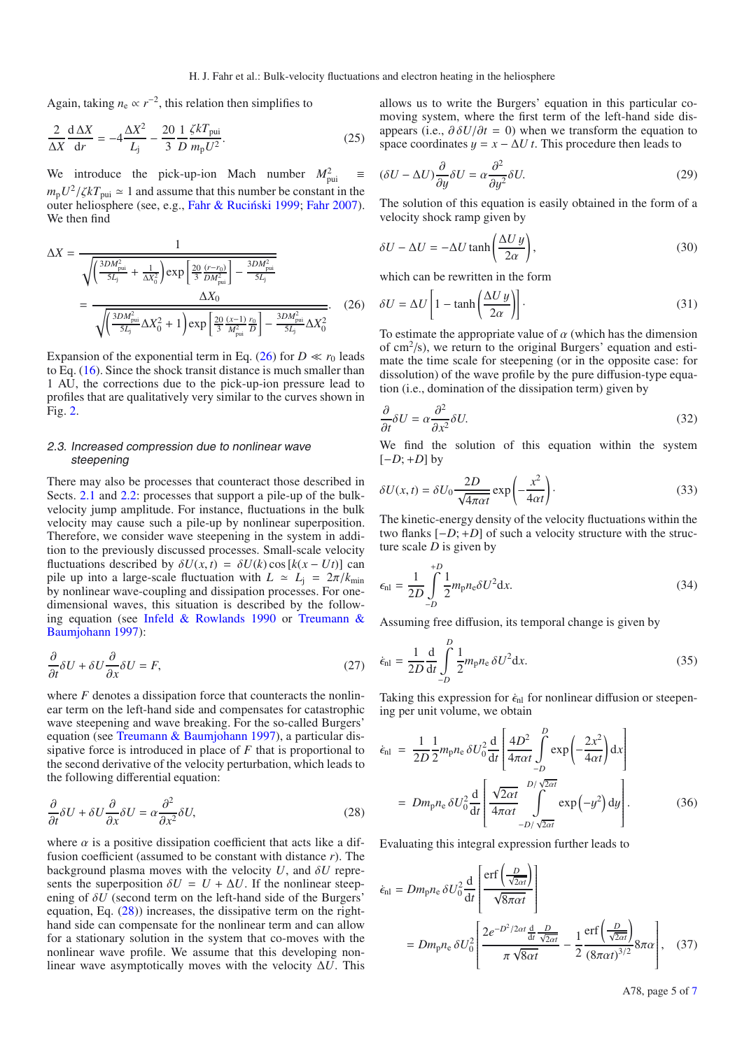Again, taking  $n_e \propto r^{-2}$ , this relation then simplifies to

$$
\frac{2}{\Delta X}\frac{\mathrm{d}\,\Delta X}{\mathrm{d}r} = -4\frac{\Delta X^2}{L_{\mathrm{j}}} - \frac{20}{3}\frac{1}{D}\frac{\zeta k T_{\mathrm{pui}}}{m_{\mathrm{p}}U^2}.\tag{25}
$$

We introduce the pick-up-ion Mach number  $M_{\text{pui}}^2 \equiv$  $m_p U^2 / \zeta kT_{\text{pui}} \simeq 1$  and assume that this number be constant in the outer heliosphere (see, e.g., Fahr & Ruciński 1999; [Fahr 2007\)](#page-6-22). We then find

$$
\Delta X = \frac{1}{\sqrt{\left(\frac{3DM_{\text{pui}}^2}{5L_j} + \frac{1}{\Delta X_0^2}\right) \exp\left[\frac{20}{3} \frac{(r - r_0)}{DM_{\text{pui}}^2}\right] - \frac{3DM_{\text{pui}}^2}{5L_j}}}} = \frac{\Delta X_0}{\sqrt{\left(\frac{3DM_{\text{pui}}^2}{5L_j}\Delta X_0^2 + 1\right) \exp\left[\frac{20}{3} \frac{(x - 1)}{M_{\text{pui}}^2} \frac{r_0}{D}\right] - \frac{3DM_{\text{pui}}^2}{5L_j}\Delta X_0^2}}.
$$
(26)

Expansion of the exponential term in Eq. [\(26\)](#page-4-0) for  $D \ll r_0$  leads to Eq. [\(16\)](#page-2-2). Since the shock transit distance is much smaller than 1 AU, the corrections due to the pick-up-ion pressure lead to profiles that are qualitatively very similar to the curves shown in Fig. [2.](#page-2-1)

## 2.3. Increased compression due to nonlinear wave steepening

There may also be processes that counteract those described in Sects. [2.1](#page-2-3) and [2.2:](#page-3-3) processes that support a pile-up of the bulkvelocity jump amplitude. For instance, fluctuations in the bulk velocity may cause such a pile-up by nonlinear superposition. Therefore, we consider wave steepening in the system in addition to the previously discussed processes. Small-scale velocity fluctuations described by  $\delta U(x, t) = \delta U(k) \cos [k(x - Ut)]$  can pile up into a large-scale fluctuation with  $L \approx L_j = 2\pi/k_{\text{min}}$ by nonlinear wave-coupling and dissipation processes. For onedimensional waves, this situation is described by the following equation (see [Infeld & Rowlands 1990](#page-6-23) or Treumann & Baumjohann [1997](#page-6-24)):

<span id="page-4-1"></span>
$$
\frac{\partial}{\partial t}\delta U + \delta U \frac{\partial}{\partial x}\delta U = F,\tag{27}
$$

where *F* denotes a dissipation force that counteracts the nonlinear term on the left-hand side and compensates for catastrophic wave steepening and wave breaking. For the so-called Burgers' equation (see [Treumann & Baumjohann 1997](#page-6-24)), a particular dissipative force is introduced in place of *F* that is proportional to the second derivative of the velocity perturbation, which leads to the following differential equation:

$$
\frac{\partial}{\partial t}\delta U + \delta U \frac{\partial}{\partial x}\delta U = \alpha \frac{\partial^2}{\partial x^2} \delta U,\tag{28}
$$

where  $\alpha$  is a positive dissipation coefficient that acts like a diffusion coefficient (assumed to be constant with distance *r*). The background plasma moves with the velocity  $U$ , and  $\delta U$  represents the superposition  $\delta U = U + \Delta U$ . If the nonlinear steepening of δ*U* (second term on the left-hand side of the Burgers' equation, Eq.  $(28)$ ) increases, the dissipative term on the righthand side can compensate for the nonlinear term and can allow for a stationary solution in the system that co-moves with the nonlinear wave profile. We assume that this developing nonlinear wave asymptotically moves with the velocity Δ*U*. This <span id="page-4-2"></span><span id="page-4-0"></span>allows us to write the Burgers' equation in this particular comoving system, where the first term of the left-hand side disappears (i.e.,  $\partial \delta U/\partial t = 0$ ) when we transform the equation to space coordinates  $y = x - \Delta U t$ . This procedure then leads to

$$
(\delta U - \Delta U) \frac{\partial}{\partial y} \delta U = \alpha \frac{\partial^2}{\partial y^2} \delta U.
$$
 (29)

The solution of this equation is easily obtained in the form of a velocity shock ramp given by

$$
\delta U - \Delta U = -\Delta U \tanh\left(\frac{\Delta U y}{2\alpha}\right),\tag{30}
$$

<span id="page-4-3"></span>which can be rewritten in the form

$$
\delta U = \Delta U \left[ 1 - \tanh\left(\frac{\Delta U y}{2\alpha}\right) \right].
$$
\n(31)

To estimate the appropriate value of  $\alpha$  (which has the dimension of  $\text{cm}^2/\text{s}$ ), we return to the original Burgers' equation and estimate the time scale for steepening (or in the opposite case: for dissolution) of the wave profile by the pure diffusion-type equation (i.e., domination of the dissipation term) given by

<span id="page-4-4"></span>
$$
\frac{\partial}{\partial t}\delta U = \alpha \frac{\partial^2}{\partial x^2} \delta U. \tag{32}
$$

We find the solution of this equation within the system  $[-D; +D]$  by

$$
\delta U(x,t) = \delta U_0 \frac{2D}{\sqrt{4\pi\alpha t}} \exp\left(-\frac{x^2}{4\alpha t}\right).
$$
 (33)

The kinetic-energy density of the velocity fluctuations within the two flanks [−*D*; +*D*] of such a velocity structure with the structure scale *D* is given by

$$
\epsilon_{\rm nl} = \frac{1}{2D} \int_{-D}^{+D} \frac{1}{2} m_{\rm p} n_{\rm e} \delta U^2 \mathrm{d}x. \tag{34}
$$

Assuming free diffusion, its temporal change is given by

$$
\dot{\epsilon}_{\rm nl} = \frac{1}{2D} \frac{\mathrm{d}}{\mathrm{d}t} \int_{-D}^{D} \frac{1}{2} m_{\rm p} n_{\rm e} \, \delta U^2 \mathrm{d}x. \tag{35}
$$

Taking this expression for  $\dot{\epsilon}_{nl}$  for nonlinear diffusion or steepening per unit volume, we obtain

$$
\dot{\epsilon}_{\rm nl} = \frac{1}{2D} \frac{1}{2} m_{\rm p} n_{\rm e} \, \delta U_0^2 \frac{d}{dt} \left[ \frac{4D^2}{4\pi \alpha t} \int_{-D}^{D} \exp\left(-\frac{2x^2}{4\alpha t}\right) dx \right]
$$
\n
$$
= D m_{\rm p} n_{\rm e} \, \delta U_0^2 \frac{d}{dt} \left[ \frac{\sqrt{2\alpha t}}{4\pi \alpha t} \int_{-D/\sqrt{2\alpha t}}^{D/\sqrt{2\alpha t}} \exp\left(-y^2\right) dy \right]. \tag{36}
$$

Evaluating this integral expression further leads to

$$
\dot{\epsilon}_{\rm nl} = Dm_{\rm p}n_{\rm e}\,\delta U_0^2 \frac{\mathrm{d}}{\mathrm{d}t} \left[ \frac{\mathrm{erf}\left(\frac{D}{\sqrt{2\alpha t}}\right)}{\sqrt{8\pi\alpha t}} \right]
$$
\n
$$
= Dm_{\rm p}n_{\rm e}\,\delta U_0^2 \left[ \frac{2e^{-D^2/2\alpha t} \frac{\mathrm{d}}{\mathrm{d}t} \frac{D}{\sqrt{2\alpha t}}}{\pi \sqrt{8\alpha t}} - \frac{1}{2} \frac{\mathrm{erf}\left(\frac{D}{\sqrt{2\alpha t}}\right)}{(8\pi\alpha t)^{3/2}} 8\pi\alpha \right], \quad (37)
$$

A78, page 5 of [7](#page-6-11)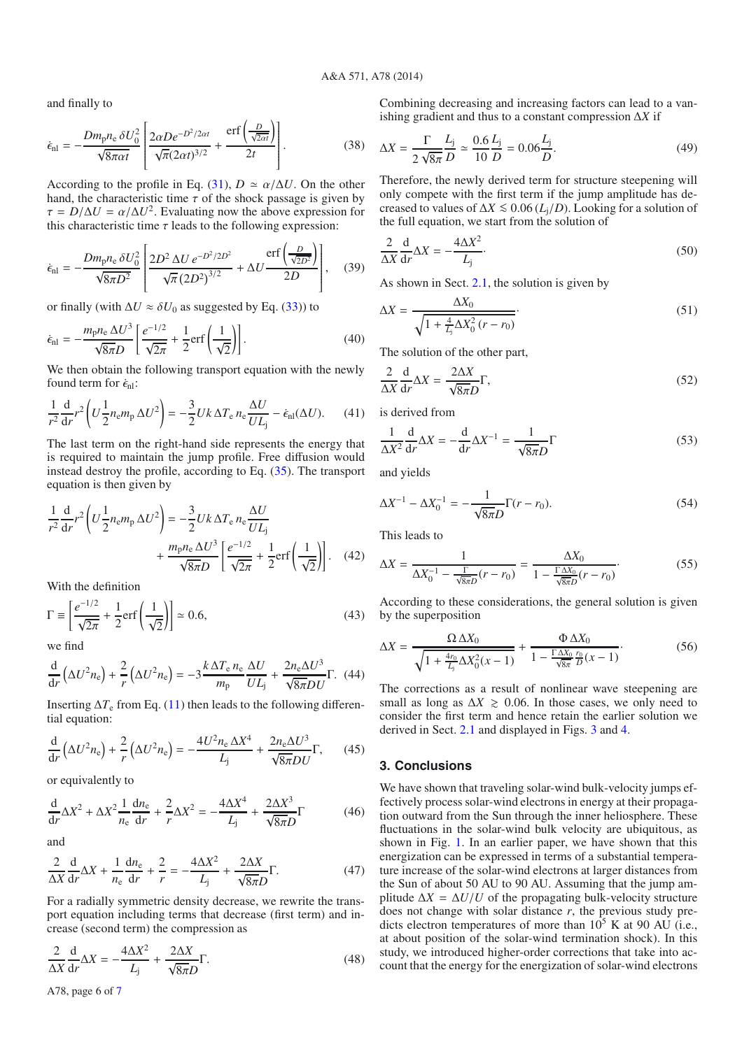and finally to

$$
\dot{\epsilon}_{\rm nl} = -\frac{Dm_{\rm p}n_{\rm e}\,\delta U_0^2}{\sqrt{8\pi\alpha t}} \left[ \frac{2\alpha D e^{-D^2/2\alpha t}}{\sqrt{\pi}(2\alpha t)^{3/2}} + \frac{\rm erf\left(\frac{D}{\sqrt{2\alpha t}}\right)}{2t} \right].
$$
 (38)

According to the profile in Eq. [\(31\)](#page-4-2),  $D \approx \alpha/\Delta U$ . On the other hand, the characteristic time  $\tau$  of the shock passage is given by  $\tau = D/\Delta U = \alpha/\Delta U^2$ . Evaluating now the above expression for this characteristic time  $\tau$  leads to the following expression:

$$
\dot{\epsilon}_{\rm nl} = -\frac{Dm_{\rm p}n_{\rm e}\,\delta U_0^2}{\sqrt{8\pi D^2}} \left[ \frac{2D^2\,\Delta U\,e^{-D^2/2D^2}}{\sqrt{\pi}\,(2D^2)^{3/2}} + \Delta U \frac{\text{erf}\left(\frac{D}{\sqrt{2D^2}}\right)}{2D} \right],\tag{39}
$$

or finally (with  $\Delta U \approx \delta U_0$  as suggested by Eq. [\(33\)](#page-4-3)) to

$$
\dot{\epsilon}_{\rm nl} = -\frac{m_{\rm p}n_{\rm e}\,\Delta U^3}{\sqrt{8\pi}D} \left[ \frac{e^{-1/2}}{\sqrt{2\pi}} + \frac{1}{2}\text{erf}\left(\frac{1}{\sqrt{2}}\right) \right].\tag{40}
$$

We then obtain the following transport equation with the newly found term for  $\dot{\epsilon}_{nl}$ :

$$
\frac{1}{r^2}\frac{\mathrm{d}}{\mathrm{d}r}r^2\left(U\frac{1}{2}n_{\rm e}m_{\rm p}\,\Delta U^2\right) = -\frac{3}{2}Uk\,\Delta T_{\rm e}\,n_{\rm e}\frac{\Delta U}{U L_{\rm j}} - \dot{\epsilon}_{\rm nl}(\Delta U). \tag{41}
$$

The last term on the right-hand side represents the energy that is required to maintain the jump profile. Free diffusion would instead destroy the profile, according to Eq. [\(35\)](#page-4-4). The transport equation is then given by

$$
\frac{1}{r^2}\frac{d}{dr}r^2\left(U\frac{1}{2}n_{\rm e}m_{\rm p}\,\Delta U^2\right) = -\frac{3}{2}Uk\,\Delta T_{\rm e}\,n_{\rm e}\frac{\Delta U}{U L_{\rm j}} + \frac{m_{\rm p}n_{\rm e}\,\Delta U^3}{\sqrt{8\pi}D}\left[\frac{e^{-1/2}}{\sqrt{2\pi}} + \frac{1}{2}\text{erf}\left(\frac{1}{\sqrt{2}}\right)\right].\tag{42}
$$

With the definition

$$
\Gamma \equiv \left[\frac{e^{-1/2}}{\sqrt{2\pi}} + \frac{1}{2}\text{erf}\left(\frac{1}{\sqrt{2}}\right)\right] \approx 0.6,\tag{43}
$$

we find

$$
\frac{\mathrm{d}}{\mathrm{d}r}\left(\Delta U^2 n_{\rm e}\right) + \frac{2}{r}\left(\Delta U^2 n_{\rm e}\right) = -3\frac{k\,\Delta T_{\rm e}\,n_{\rm e}}{m_{\rm p}}\frac{\Delta U}{UL_{\rm j}} + \frac{2n_{\rm e}\Delta U^3}{\sqrt{8\pi}DU}\Gamma. \tag{44}
$$

Inserting  $\Delta T_e$  from Eq. [\(11\)](#page-2-4) then leads to the following differential equation:

$$
\frac{\mathrm{d}}{\mathrm{d}r}\left(\Delta U^2 n_{\rm e}\right) + \frac{2}{r}\left(\Delta U^2 n_{\rm e}\right) = -\frac{4U^2 n_{\rm e}\Delta X^4}{L_{\rm j}} + \frac{2n_{\rm e}\Delta U^3}{\sqrt{8\pi D U}}\Gamma,\qquad(45)
$$

or equivalently to

$$
\frac{\mathrm{d}}{\mathrm{d}r}\Delta X^2 + \Delta X^2 \frac{1}{n_\text{e}}\frac{\mathrm{d}n_\text{e}}{\mathrm{d}r} + \frac{2}{r}\Delta X^2 = -\frac{4\Delta X^4}{L_\text{j}} + \frac{2\Delta X^3}{\sqrt{8\pi D}}\Gamma\tag{46}
$$

and

$$
\frac{2}{\Delta X}\frac{d}{dr}\Delta X + \frac{1}{n_e}\frac{dn_e}{dr} + \frac{2}{r} = -\frac{4\Delta X^2}{L_j} + \frac{2\Delta X}{\sqrt{8\pi D}}\Gamma.
$$
 (47)

For a radially symmetric density decrease, we rewrite the transport equation including terms that decrease (first term) and increase (second term) the compression as

$$
\frac{2}{\Delta X}\frac{d}{dr}\Delta X = -\frac{4\Delta X^2}{L_j} + \frac{2\Delta X}{\sqrt{8\pi}D}\Gamma.
$$
 (48)

Combining decreasing and increasing factors can lead to a vanishing gradient and thus to a constant compression Δ*X* if

$$
\Delta X = \frac{\Gamma}{2\sqrt{8\pi}} \frac{L_{\rm j}}{D} \simeq \frac{0.6}{10} \frac{L_{\rm j}}{D} = 0.06 \frac{L_{\rm j}}{D}.
$$
 (49)

Therefore, the newly derived term for structure steepening will only compete with the first term if the jump amplitude has decreased to values of  $\Delta X \leq 0.06$  ( $L_i/D$ ). Looking for a solution of the full equation, we start from the solution of

$$
\frac{2}{\Delta X} \frac{d}{dr} \Delta X = -\frac{4\Delta X^2}{L_j}.
$$
\n(50)

As shown in Sect. [2.1,](#page-2-3) the solution is given by

$$
\Delta X = \frac{\Delta X_0}{\sqrt{1 + \frac{4}{L_j} \Delta X_0^2 (r - r_0)}}.
$$
\n(51)

The solution of the other part,

$$
\frac{2}{\Delta X} \frac{d}{dr} \Delta X = \frac{2\Delta X}{\sqrt{8\pi D}} \Gamma,\tag{52}
$$

is derived from

$$
\frac{1}{\Delta X^2} \frac{d}{dr} \Delta X = -\frac{d}{dr} \Delta X^{-1} = \frac{1}{\sqrt{8\pi D}} \Gamma
$$
 (53)

and yields

$$
\Delta X^{-1} - \Delta X_0^{-1} = -\frac{1}{\sqrt{8\pi D}} \Gamma(r - r_0).
$$
 (54)

This leads to

$$
\Delta X = \frac{1}{\Delta X_0^{-1} - \frac{\Gamma}{\sqrt{8\pi D}}(r - r_0)} = \frac{\Delta X_0}{1 - \frac{\Gamma \Delta X_0}{\sqrt{8\pi D}}(r - r_0)}.
$$
(55)

According to these considerations, the general solution is given by the superposition

$$
\Delta X = \frac{\Omega \, \Delta X_0}{\sqrt{1 + \frac{4r_0}{L_j} \Delta X_0^2 (x - 1)}} + \frac{\Phi \, \Delta X_0}{1 - \frac{\Gamma \, \Delta X_0}{\sqrt{8\pi}} \frac{r_0}{D} (x - 1)}.
$$
(56)

The corrections as a result of nonlinear wave steepening are small as long as  $\Delta X \geq 0.06$ . In those cases, we only need to consider the first term and hence retain the earlier solution we derived in Sect. [2.1](#page-2-3) and displayed in Figs. [3](#page-3-1) and [4.](#page-3-2)

#### **3. Conclusions**

We have shown that traveling solar-wind bulk-velocity jumps effectively process solar-wind electrons in energy at their propagation outward from the Sun through the inner heliosphere. These fluctuations in the solar-wind bulk velocity are ubiquitous, as shown in Fig. [1.](#page-1-0) In an earlier paper, we have shown that this energization can be expressed in terms of a substantial temperature increase of the solar-wind electrons at larger distances from the Sun of about 50 AU to 90 AU. Assuming that the jump amplitude  $\Delta X = \Delta U/U$  of the propagating bulk-velocity structure does not change with solar distance *r*, the previous study predicts electron temperatures of more than  $10^5$  K at 90 AU (i.e., at about position of the solar-wind termination shock). In this study, we introduced higher-order corrections that take into account that the energy for the energization of solar-wind electrons

A78, page 6 of [7](#page-6-11)